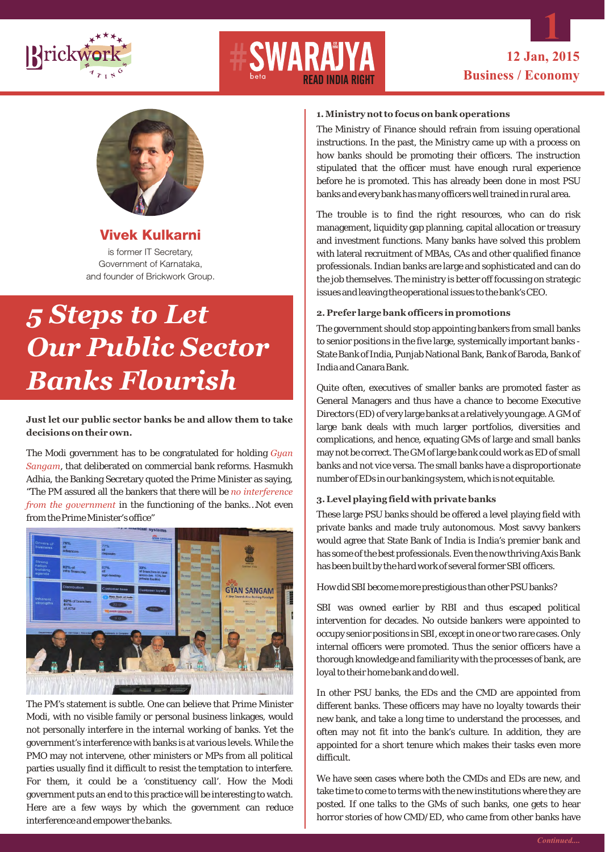

# READ INDIA RIGHT



**Vivek Kulkarni**  is former IT Secretary, Government of Karnataka,

### and founder of Brickwork Group.

## *5 Steps to Let Our Public Sector Banks Flourish*

### **Just let our public sector banks be and allow them to take decisions on their own.**

The Modi government has to be congratulated for holding  *Gyan*  , that deliberated on commercial bank reforms. Hasmukh *Sangam* Adhia, the Banking Secretary quoted the Prime Minister as saying, "The PM assured all the bankers that there will be *no interference from the government* in the functioning of the banks…Not even from the Prime Minister's office"



The PM's statement is subtle. One can believe that Prime Minister Modi, with no visible family or personal business linkages, would not personally interfere in the internal working of banks. Yet the government's interference with banks is at various levels. While the PMO may not intervene, other ministers or MPs from all political parties usually find it difficult to resist the temptation to interfere. For them, it could be a 'constituency call'. How the Modi government puts an end to this practice will be interesting to watch. Here are a few ways by which the government can reduce interference and empower the banks.

#### **1. Ministry not to focus on bank operations**

The Ministry of Finance should refrain from issuing operational instructions. In the past, the Ministry came up with a process on how banks should be promoting their officers. The instruction stipulated that the officer must have enough rural experience before he is promoted. This has already been done in most PSU banks and every bank has many officers well trained in rural area.

The trouble is to find the right resources, who can do risk management, liquidity gap planning, capital allocation or treasury and investment functions. Many banks have solved this problem with lateral recruitment of MBAs, CAs and other qualified finance professionals. Indian banks are large and sophisticated and can do the job themselves. The ministry is better off focussing on strategic issues and leaving the operational issues to the bank's CEO.

### **2. Prefer large bank officers in promotions**

The government should stop appointing bankers from small banks to senior positions in the five large, systemically important banks - State Bank of India, Punjab National Bank, Bank of Baroda, Bank of India and Canara Bank.

Quite often, executives of smaller banks are promoted faster as General Managers and thus have a chance to become Executive Directors (ED) of very large banks at a relatively young age. A GM of large bank deals with much larger portfolios, diversities and complications, and hence, equating GMs of large and small banks may not be correct. The GM of large bank could work as ED of small banks and not vice versa. The small banks have a disproportionate number of EDs in our banking system, which is not equitable.

### **3. Level playing field with private banks**

These large PSU banks should be offered a level playing field with private banks and made truly autonomous. Most savvy bankers would agree that State Bank of India is India's premier bank and has some of the best professionals. Even the now thriving Axis Bank has been built by the hard work of several former SBI officers.

How did SBI become more prestigious than other PSU banks?

SBI was owned earlier by RBI and thus escaped political intervention for decades. No outside bankers were appointed to occupy senior positions in SBI, except in one or two rare cases. Only internal officers were promoted. Thus the senior officers have a thorough knowledge and familiarity with the processes of bank, are loyal to their home bank and do well.

In other PSU banks, the EDs and the CMD are appointed from different banks. These officers may have no loyalty towards their new bank, and take a long time to understand the processes, and often may not fit into the bank's culture. In addition, they are appointed for a short tenure which makes their tasks even more difficult.

We have seen cases where both the CMDs and EDs are new, and take time to come to terms with the new institutions where they are posted. If one talks to the GMs of such banks, one gets to hear horror stories of how CMD/ED, who came from other banks have